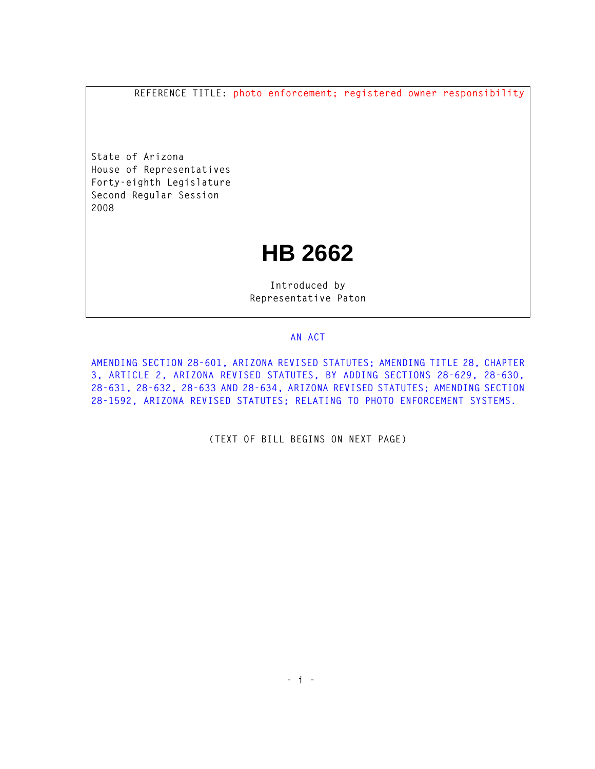**REFERENCE TITLE: photo enforcement; registered owner responsibility**

**State of Arizona House of Representatives Forty-eighth Legislature Second Regular Session 2008** 

## **HB 2662**

**Introduced by Representative Paton** 

## **AN ACT**

**AMENDING SECTION 28-601, ARIZONA REVISED STATUTES; AMENDING TITLE 28, CHAPTER 3, ARTICLE 2, ARIZONA REVISED STATUTES, BY ADDING SECTIONS 28-629, 28-630, 28-631, 28-632, 28-633 AND 28-634, ARIZONA REVISED STATUTES; AMENDING SECTION 28-1592, ARIZONA REVISED STATUTES; RELATING TO PHOTO ENFORCEMENT SYSTEMS.** 

**(TEXT OF BILL BEGINS ON NEXT PAGE)**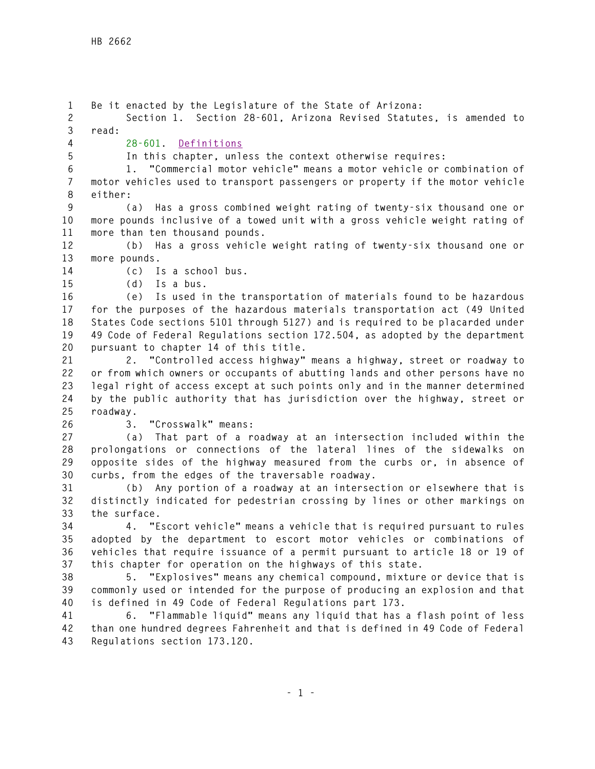**1 Be it enacted by the Legislature of the State of Arizona: 2 Section 1. Section 28-601, Arizona Revised Statutes, is amended to 3 read: 4 28-601. Definitions 5 In this chapter, unless the context otherwise requires: 6 1. "Commercial motor vehicle" means a motor vehicle or combination of 7 motor vehicles used to transport passengers or property if the motor vehicle 8 either: 9 (a) Has a gross combined weight rating of twenty-six thousand one or 10 more pounds inclusive of a towed unit with a gross vehicle weight rating of 11 more than ten thousand pounds. 12 (b) Has a gross vehicle weight rating of twenty-six thousand one or 13 more pounds. 14 (c) Is a school bus. 15 (d) Is a bus. 16 (e) Is used in the transportation of materials found to be hazardous 17 for the purposes of the hazardous materials transportation act (49 United 18 States Code sections 5101 through 5127) and is required to be placarded under 19 49 Code of Federal Regulations section 172.504, as adopted by the department 20 pursuant to chapter 14 of this title. 21 2. "Controlled access highway" means a highway, street or roadway to 22 or from which owners or occupants of abutting lands and other persons have no 23 legal right of access except at such points only and in the manner determined 24 by the public authority that has jurisdiction over the highway, street or 25 roadway. 26 3. "Crosswalk" means: 27 (a) That part of a roadway at an intersection included within the 28 prolongations or connections of the lateral lines of the sidewalks on 29 opposite sides of the highway measured from the curbs or, in absence of 30 curbs, from the edges of the traversable roadway. 31 (b) Any portion of a roadway at an intersection or elsewhere that is 32 distinctly indicated for pedestrian crossing by lines or other markings on 33 the surface. 34 4. "Escort vehicle" means a vehicle that is required pursuant to rules 35 adopted by the department to escort motor vehicles or combinations of 36 vehicles that require issuance of a permit pursuant to article 18 or 19 of 37 this chapter for operation on the highways of this state. 38 5. "Explosives" means any chemical compound, mixture or device that is 39 commonly used or intended for the purpose of producing an explosion and that 40 is defined in 49 Code of Federal Regulations part 173. 41 6. "Flammable liquid" means any liquid that has a flash point of less 42 than one hundred degrees Fahrenheit and that is defined in 49 Code of Federal 43 Regulations section 173.120.**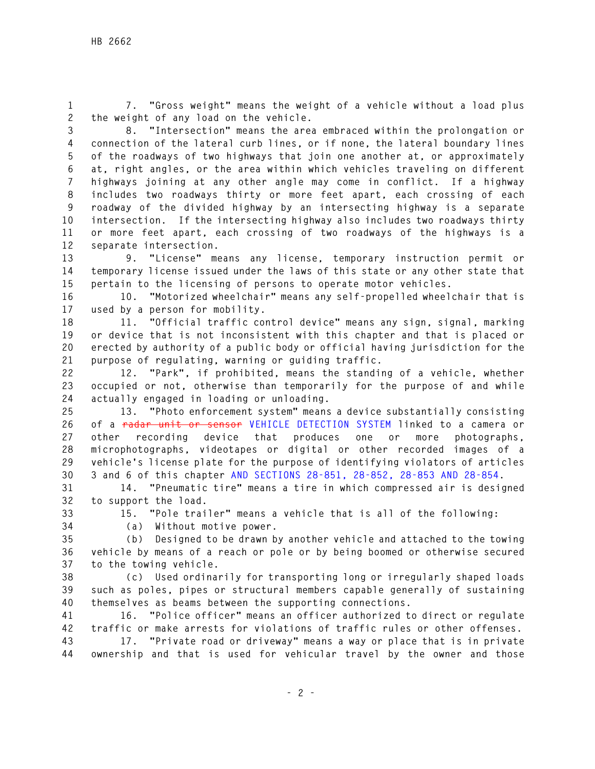**1 7. "Gross weight" means the weight of a vehicle without a load plus 2 the weight of any load on the vehicle.** 

**3 8. "Intersection" means the area embraced within the prolongation or 4 connection of the lateral curb lines, or if none, the lateral boundary lines 5 of the roadways of two highways that join one another at, or approximately 6 at, right angles, or the area within which vehicles traveling on different 7 highways joining at any other angle may come in conflict. If a highway 8 includes two roadways thirty or more feet apart, each crossing of each 9 roadway of the divided highway by an intersecting highway is a separate 10 intersection. If the intersecting highway also includes two roadways thirty 11 or more feet apart, each crossing of two roadways of the highways is a 12 separate intersection.** 

**13 9. "License" means any license, temporary instruction permit or 14 temporary license issued under the laws of this state or any other state that 15 pertain to the licensing of persons to operate motor vehicles.** 

**16 10. "Motorized wheelchair" means any self-propelled wheelchair that is 17 used by a person for mobility.** 

**18 11. "Official traffic control device" means any sign, signal, marking 19 or device that is not inconsistent with this chapter and that is placed or 20 erected by authority of a public body or official having jurisdiction for the 21 purpose of regulating, warning or guiding traffic.** 

**22 12. "Park", if prohibited, means the standing of a vehicle, whether 23 occupied or not, otherwise than temporarily for the purpose of and while 24 actually engaged in loading or unloading.** 

**25 13. "Photo enforcement system" means a device substantially consisting 26 of a radar unit or sensor VEHICLE DETECTION SYSTEM linked to a camera or 27 other recording device that produces one or more photographs, 28 microphotographs, videotapes or digital or other recorded images of a 29 vehicle's license plate for the purpose of identifying violators of articles 30 3 and 6 of this chapter AND SECTIONS 28-851, 28-852, 28-853 AND 28-854.** 

**31 14. "Pneumatic tire" means a tire in which compressed air is designed 32 to support the load.** 

**33 15. "Pole trailer" means a vehicle that is all of the following:** 

**34 (a) Without motive power.** 

**35 (b) Designed to be drawn by another vehicle and attached to the towing 36 vehicle by means of a reach or pole or by being boomed or otherwise secured 37 to the towing vehicle.** 

**38 (c) Used ordinarily for transporting long or irregularly shaped loads 39 such as poles, pipes or structural members capable generally of sustaining 40 themselves as beams between the supporting connections.** 

**41 16. "Police officer" means an officer authorized to direct or regulate 42 traffic or make arrests for violations of traffic rules or other offenses.** 

**43 17. "Private road or driveway" means a way or place that is in private 44 ownership and that is used for vehicular travel by the owner and those**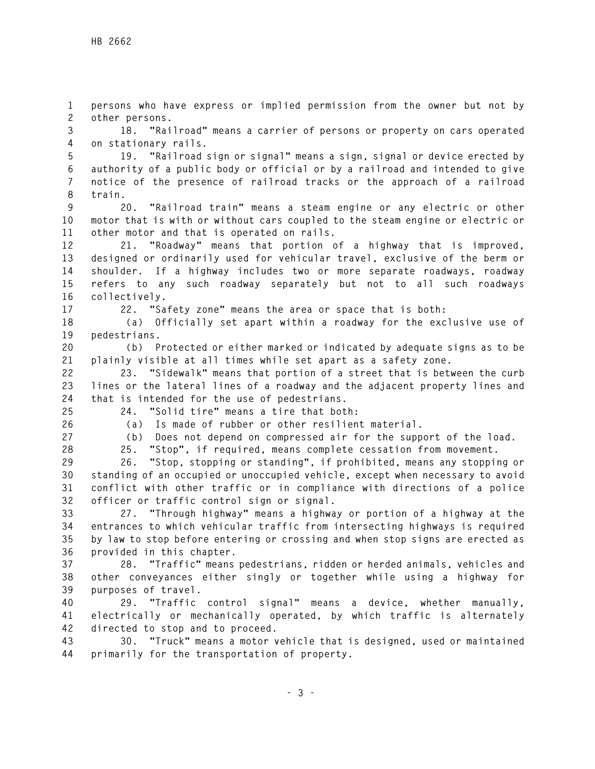**1 persons who have express or implied permission from the owner but not by 2 other persons.** 

**3 18. "Railroad" means a carrier of persons or property on cars operated 4 on stationary rails.** 

**5 19. "Railroad sign or signal" means a sign, signal or device erected by 6 authority of a public body or official or by a railroad and intended to give 7 notice of the presence of railroad tracks or the approach of a railroad 8 train.** 

**9 20. "Railroad train" means a steam engine or any electric or other 10 motor that is with or without cars coupled to the steam engine or electric or 11 other motor and that is operated on rails.** 

**12 21. "Roadway" means that portion of a highway that is improved, 13 designed or ordinarily used for vehicular travel, exclusive of the berm or 14 shoulder. If a highway includes two or more separate roadways, roadway 15 refers to any such roadway separately but not to all such roadways 16 collectively.** 

**17 22. "Safety zone" means the area or space that is both:** 

**18 (a) Officially set apart within a roadway for the exclusive use of 19 pedestrians.** 

**20 (b) Protected or either marked or indicated by adequate signs as to be 21 plainly visible at all times while set apart as a safety zone.** 

**22 23. "Sidewalk" means that portion of a street that is between the curb 23 lines or the lateral lines of a roadway and the adjacent property lines and 24 that is intended for the use of pedestrians.** 

**25 24. "Solid tire" means a tire that both:** 

**26 (a) Is made of rubber or other resilient material.** 

**27 (b) Does not depend on compressed air for the support of the load.** 

**28 25. "Stop", if required, means complete cessation from movement.** 

**29 26. "Stop, stopping or standing", if prohibited, means any stopping or 30 standing of an occupied or unoccupied vehicle, except when necessary to avoid 31 conflict with other traffic or in compliance with directions of a police 32 officer or traffic control sign or signal.** 

**33 27. "Through highway" means a highway or portion of a highway at the 34 entrances to which vehicular traffic from intersecting highways is required 35 by law to stop before entering or crossing and when stop signs are erected as 36 provided in this chapter.** 

**37 28. "Traffic" means pedestrians, ridden or herded animals, vehicles and 38 other conveyances either singly or together while using a highway for 39 purposes of travel.** 

**40 29. "Traffic control signal" means a device, whether manually, 41 electrically or mechanically operated, by which traffic is alternately 42 directed to stop and to proceed.** 

**43 30. "Truck" means a motor vehicle that is designed, used or maintained 44 primarily for the transportation of property.**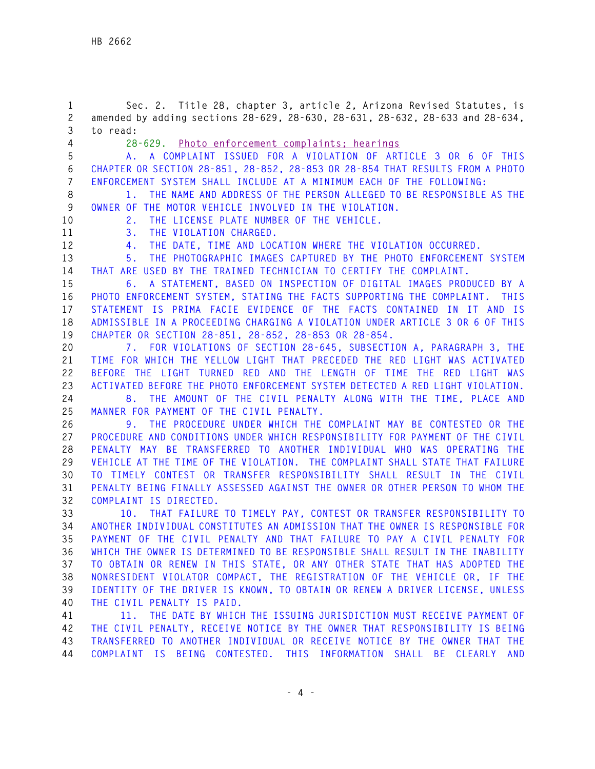**1 Sec. 2. Title 28, chapter 3, article 2, Arizona Revised Statutes, is 2 amended by adding sections 28-629, 28-630, 28-631, 28-632, 28-633 and 28-634, 3 to read: 4 28-629. Photo enforcement complaints; hearings 5 A. A COMPLAINT ISSUED FOR A VIOLATION OF ARTICLE 3 OR 6 OF THIS 6 CHAPTER OR SECTION 28-851, 28-852, 28-853 OR 28-854 THAT RESULTS FROM A PHOTO 7 ENFORCEMENT SYSTEM SHALL INCLUDE AT A MINIMUM EACH OF THE FOLLOWING: 8 1. THE NAME AND ADDRESS OF THE PERSON ALLEGED TO BE RESPONSIBLE AS THE 9 OWNER OF THE MOTOR VEHICLE INVOLVED IN THE VIOLATION. 10 2. THE LICENSE PLATE NUMBER OF THE VEHICLE. 11 3. THE VIOLATION CHARGED. 12 4. THE DATE, TIME AND LOCATION WHERE THE VIOLATION OCCURRED. 13 5. THE PHOTOGRAPHIC IMAGES CAPTURED BY THE PHOTO ENFORCEMENT SYSTEM 14 THAT ARE USED BY THE TRAINED TECHNICIAN TO CERTIFY THE COMPLAINT. 15 6. A STATEMENT, BASED ON INSPECTION OF DIGITAL IMAGES PRODUCED BY A 16 PHOTO ENFORCEMENT SYSTEM, STATING THE FACTS SUPPORTING THE COMPLAINT. THIS 17 STATEMENT IS PRIMA FACIE EVIDENCE OF THE FACTS CONTAINED IN IT AND IS 18 ADMISSIBLE IN A PROCEEDING CHARGING A VIOLATION UNDER ARTICLE 3 OR 6 OF THIS 19 CHAPTER OR SECTION 28-851, 28-852, 28-853 OR 28-854. 20 7. FOR VIOLATIONS OF SECTION 28-645, SUBSECTION A, PARAGRAPH 3, THE 21 TIME FOR WHICH THE YELLOW LIGHT THAT PRECEDED THE RED LIGHT WAS ACTIVATED 22 BEFORE THE LIGHT TURNED RED AND THE LENGTH OF TIME THE RED LIGHT WAS 23 ACTIVATED BEFORE THE PHOTO ENFORCEMENT SYSTEM DETECTED A RED LIGHT VIOLATION. 24 8. THE AMOUNT OF THE CIVIL PENALTY ALONG WITH THE TIME, PLACE AND 25 MANNER FOR PAYMENT OF THE CIVIL PENALTY. 26 9. THE PROCEDURE UNDER WHICH THE COMPLAINT MAY BE CONTESTED OR THE 27 PROCEDURE AND CONDITIONS UNDER WHICH RESPONSIBILITY FOR PAYMENT OF THE CIVIL 28 PENALTY MAY BE TRANSFERRED TO ANOTHER INDIVIDUAL WHO WAS OPERATING THE 29 VEHICLE AT THE TIME OF THE VIOLATION. THE COMPLAINT SHALL STATE THAT FAILURE 30 TO TIMELY CONTEST OR TRANSFER RESPONSIBILITY SHALL RESULT IN THE CIVIL 31 PENALTY BEING FINALLY ASSESSED AGAINST THE OWNER OR OTHER PERSON TO WHOM THE 32 COMPLAINT IS DIRECTED. 33 10. THAT FAILURE TO TIMELY PAY, CONTEST OR TRANSFER RESPONSIBILITY TO 34 ANOTHER INDIVIDUAL CONSTITUTES AN ADMISSION THAT THE OWNER IS RESPONSIBLE FOR 35 PAYMENT OF THE CIVIL PENALTY AND THAT FAILURE TO PAY A CIVIL PENALTY FOR 36 WHICH THE OWNER IS DETERMINED TO BE RESPONSIBLE SHALL RESULT IN THE INABILITY 37 TO OBTAIN OR RENEW IN THIS STATE, OR ANY OTHER STATE THAT HAS ADOPTED THE 38 NONRESIDENT VIOLATOR COMPACT, THE REGISTRATION OF THE VEHICLE OR, IF THE 39 IDENTITY OF THE DRIVER IS KNOWN, TO OBTAIN OR RENEW A DRIVER LICENSE, UNLESS 40 THE CIVIL PENALTY IS PAID. 41 11. THE DATE BY WHICH THE ISSUING JURISDICTION MUST RECEIVE PAYMENT OF 42 THE CIVIL PENALTY, RECEIVE NOTICE BY THE OWNER THAT RESPONSIBILITY IS BEING 43 TRANSFERRED TO ANOTHER INDIVIDUAL OR RECEIVE NOTICE BY THE OWNER THAT THE** 

**44 COMPLAINT IS BEING CONTESTED. THIS INFORMATION SHALL BE CLEARLY AND**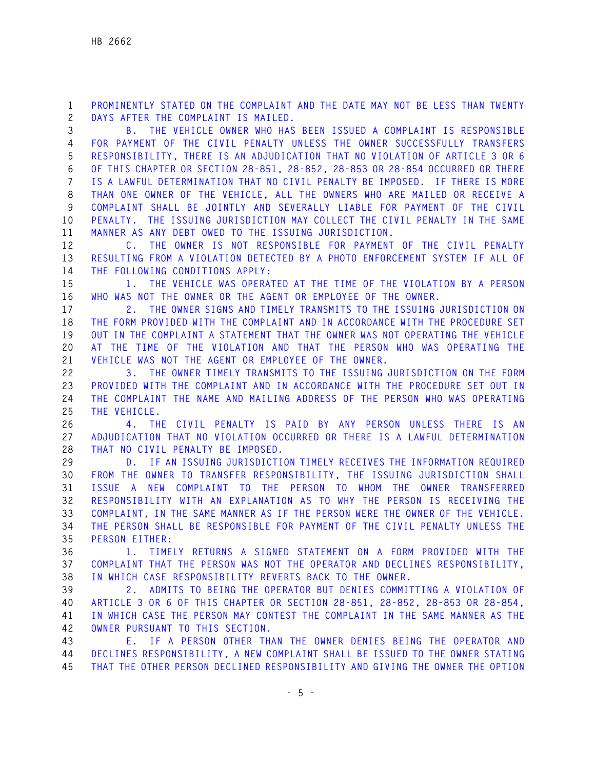**1 PROMINENTLY STATED ON THE COMPLAINT AND THE DATE MAY NOT BE LESS THAN TWENTY 2 DAYS AFTER THE COMPLAINT IS MAILED.** 

**3 B. THE VEHICLE OWNER WHO HAS BEEN ISSUED A COMPLAINT IS RESPONSIBLE 4 FOR PAYMENT OF THE CIVIL PENALTY UNLESS THE OWNER SUCCESSFULLY TRANSFERS 5 RESPONSIBILITY, THERE IS AN ADJUDICATION THAT NO VIOLATION OF ARTICLE 3 OR 6 6 OF THIS CHAPTER OR SECTION 28-851, 28-852, 28-853 OR 28-854 OCCURRED OR THERE 7 IS A LAWFUL DETERMINATION THAT NO CIVIL PENALTY BE IMPOSED. IF THERE IS MORE 8 THAN ONE OWNER OF THE VEHICLE, ALL THE OWNERS WHO ARE MAILED OR RECEIVE A 9 COMPLAINT SHALL BE JOINTLY AND SEVERALLY LIABLE FOR PAYMENT OF THE CIVIL 10 PENALTY. THE ISSUING JURISDICTION MAY COLLECT THE CIVIL PENALTY IN THE SAME 11 MANNER AS ANY DEBT OWED TO THE ISSUING JURISDICTION.** 

**12 C. THE OWNER IS NOT RESPONSIBLE FOR PAYMENT OF THE CIVIL PENALTY 13 RESULTING FROM A VIOLATION DETECTED BY A PHOTO ENFORCEMENT SYSTEM IF ALL OF 14 THE FOLLOWING CONDITIONS APPLY:** 

**15 1. THE VEHICLE WAS OPERATED AT THE TIME OF THE VIOLATION BY A PERSON 16 WHO WAS NOT THE OWNER OR THE AGENT OR EMPLOYEE OF THE OWNER.** 

**17 2. THE OWNER SIGNS AND TIMELY TRANSMITS TO THE ISSUING JURISDICTION ON 18 THE FORM PROVIDED WITH THE COMPLAINT AND IN ACCORDANCE WITH THE PROCEDURE SET 19 OUT IN THE COMPLAINT A STATEMENT THAT THE OWNER WAS NOT OPERATING THE VEHICLE 20 AT THE TIME OF THE VIOLATION AND THAT THE PERSON WHO WAS OPERATING THE 21 VEHICLE WAS NOT THE AGENT OR EMPLOYEE OF THE OWNER.** 

**22 3. THE OWNER TIMELY TRANSMITS TO THE ISSUING JURISDICTION ON THE FORM 23 PROVIDED WITH THE COMPLAINT AND IN ACCORDANCE WITH THE PROCEDURE SET OUT IN 24 THE COMPLAINT THE NAME AND MAILING ADDRESS OF THE PERSON WHO WAS OPERATING 25 THE VEHICLE.** 

**26 4. THE CIVIL PENALTY IS PAID BY ANY PERSON UNLESS THERE IS AN 27 ADJUDICATION THAT NO VIOLATION OCCURRED OR THERE IS A LAWFUL DETERMINATION 28 THAT NO CIVIL PENALTY BE IMPOSED.** 

**29 D. IF AN ISSUING JURISDICTION TIMELY RECEIVES THE INFORMATION REQUIRED 30 FROM THE OWNER TO TRANSFER RESPONSIBILITY, THE ISSUING JURISDICTION SHALL 31 ISSUE A NEW COMPLAINT TO THE PERSON TO WHOM THE OWNER TRANSFERRED 32 RESPONSIBILITY WITH AN EXPLANATION AS TO WHY THE PERSON IS RECEIVING THE 33 COMPLAINT, IN THE SAME MANNER AS IF THE PERSON WERE THE OWNER OF THE VEHICLE. 34 THE PERSON SHALL BE RESPONSIBLE FOR PAYMENT OF THE CIVIL PENALTY UNLESS THE 35 PERSON EITHER:** 

**36 1. TIMELY RETURNS A SIGNED STATEMENT ON A FORM PROVIDED WITH THE 37 COMPLAINT THAT THE PERSON WAS NOT THE OPERATOR AND DECLINES RESPONSIBILITY, 38 IN WHICH CASE RESPONSIBILITY REVERTS BACK TO THE OWNER.** 

**39 2. ADMITS TO BEING THE OPERATOR BUT DENIES COMMITTING A VIOLATION OF 40 ARTICLE 3 OR 6 OF THIS CHAPTER OR SECTION 28-851, 28-852, 28-853 OR 28-854, 41 IN WHICH CASE THE PERSON MAY CONTEST THE COMPLAINT IN THE SAME MANNER AS THE 42 OWNER PURSUANT TO THIS SECTION.** 

**43 E. IF A PERSON OTHER THAN THE OWNER DENIES BEING THE OPERATOR AND 44 DECLINES RESPONSIBILITY, A NEW COMPLAINT SHALL BE ISSUED TO THE OWNER STATING 45 THAT THE OTHER PERSON DECLINED RESPONSIBILITY AND GIVING THE OWNER THE OPTION**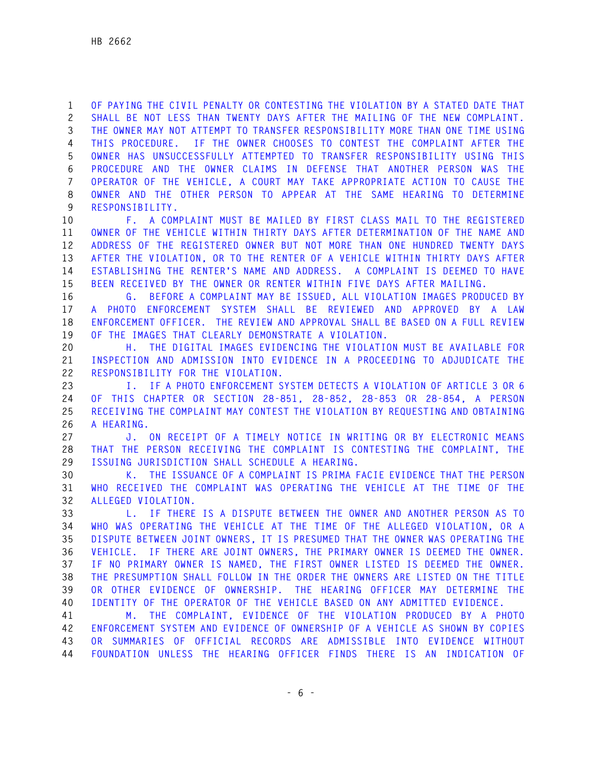**1 OF PAYING THE CIVIL PENALTY OR CONTESTING THE VIOLATION BY A STATED DATE THAT 2 SHALL BE NOT LESS THAN TWENTY DAYS AFTER THE MAILING OF THE NEW COMPLAINT. 3 THE OWNER MAY NOT ATTEMPT TO TRANSFER RESPONSIBILITY MORE THAN ONE TIME USING 4 THIS PROCEDURE. IF THE OWNER CHOOSES TO CONTEST THE COMPLAINT AFTER THE 5 OWNER HAS UNSUCCESSFULLY ATTEMPTED TO TRANSFER RESPONSIBILITY USING THIS 6 PROCEDURE AND THE OWNER CLAIMS IN DEFENSE THAT ANOTHER PERSON WAS THE 7 OPERATOR OF THE VEHICLE, A COURT MAY TAKE APPROPRIATE ACTION TO CAUSE THE 8 OWNER AND THE OTHER PERSON TO APPEAR AT THE SAME HEARING TO DETERMINE 9 RESPONSIBILITY.** 

**10 F. A COMPLAINT MUST BE MAILED BY FIRST CLASS MAIL TO THE REGISTERED 11 OWNER OF THE VEHICLE WITHIN THIRTY DAYS AFTER DETERMINATION OF THE NAME AND 12 ADDRESS OF THE REGISTERED OWNER BUT NOT MORE THAN ONE HUNDRED TWENTY DAYS 13 AFTER THE VIOLATION, OR TO THE RENTER OF A VEHICLE WITHIN THIRTY DAYS AFTER 14 ESTABLISHING THE RENTER'S NAME AND ADDRESS. A COMPLAINT IS DEEMED TO HAVE 15 BEEN RECEIVED BY THE OWNER OR RENTER WITHIN FIVE DAYS AFTER MAILING.** 

**16 G. BEFORE A COMPLAINT MAY BE ISSUED, ALL VIOLATION IMAGES PRODUCED BY 17 A PHOTO ENFORCEMENT SYSTEM SHALL BE REVIEWED AND APPROVED BY A LAW 18 ENFORCEMENT OFFICER. THE REVIEW AND APPROVAL SHALL BE BASED ON A FULL REVIEW 19 OF THE IMAGES THAT CLEARLY DEMONSTRATE A VIOLATION.** 

**20 H. THE DIGITAL IMAGES EVIDENCING THE VIOLATION MUST BE AVAILABLE FOR 21 INSPECTION AND ADMISSION INTO EVIDENCE IN A PROCEEDING TO ADJUDICATE THE 22 RESPONSIBILITY FOR THE VIOLATION.** 

**23 I. IF A PHOTO ENFORCEMENT SYSTEM DETECTS A VIOLATION OF ARTICLE 3 OR 6 24 OF THIS CHAPTER OR SECTION 28-851, 28-852, 28-853 OR 28-854, A PERSON 25 RECEIVING THE COMPLAINT MAY CONTEST THE VIOLATION BY REQUESTING AND OBTAINING 26 A HEARING.** 

**27 J. ON RECEIPT OF A TIMELY NOTICE IN WRITING OR BY ELECTRONIC MEANS 28 THAT THE PERSON RECEIVING THE COMPLAINT IS CONTESTING THE COMPLAINT, THE 29 ISSUING JURISDICTION SHALL SCHEDULE A HEARING.** 

**30 K. THE ISSUANCE OF A COMPLAINT IS PRIMA FACIE EVIDENCE THAT THE PERSON 31 WHO RECEIVED THE COMPLAINT WAS OPERATING THE VEHICLE AT THE TIME OF THE 32 ALLEGED VIOLATION.** 

**33 L. IF THERE IS A DISPUTE BETWEEN THE OWNER AND ANOTHER PERSON AS TO 34 WHO WAS OPERATING THE VEHICLE AT THE TIME OF THE ALLEGED VIOLATION, OR A 35 DISPUTE BETWEEN JOINT OWNERS, IT IS PRESUMED THAT THE OWNER WAS OPERATING THE 36 VEHICLE. IF THERE ARE JOINT OWNERS, THE PRIMARY OWNER IS DEEMED THE OWNER. 37 IF NO PRIMARY OWNER IS NAMED, THE FIRST OWNER LISTED IS DEEMED THE OWNER. 38 THE PRESUMPTION SHALL FOLLOW IN THE ORDER THE OWNERS ARE LISTED ON THE TITLE 39 OR OTHER EVIDENCE OF OWNERSHIP. THE HEARING OFFICER MAY DETERMINE THE 40 IDENTITY OF THE OPERATOR OF THE VEHICLE BASED ON ANY ADMITTED EVIDENCE.** 

**41 M. THE COMPLAINT, EVIDENCE OF THE VIOLATION PRODUCED BY A PHOTO 42 ENFORCEMENT SYSTEM AND EVIDENCE OF OWNERSHIP OF A VEHICLE AS SHOWN BY COPIES 43 OR SUMMARIES OF OFFICIAL RECORDS ARE ADMISSIBLE INTO EVIDENCE WITHOUT 44 FOUNDATION UNLESS THE HEARING OFFICER FINDS THERE IS AN INDICATION OF**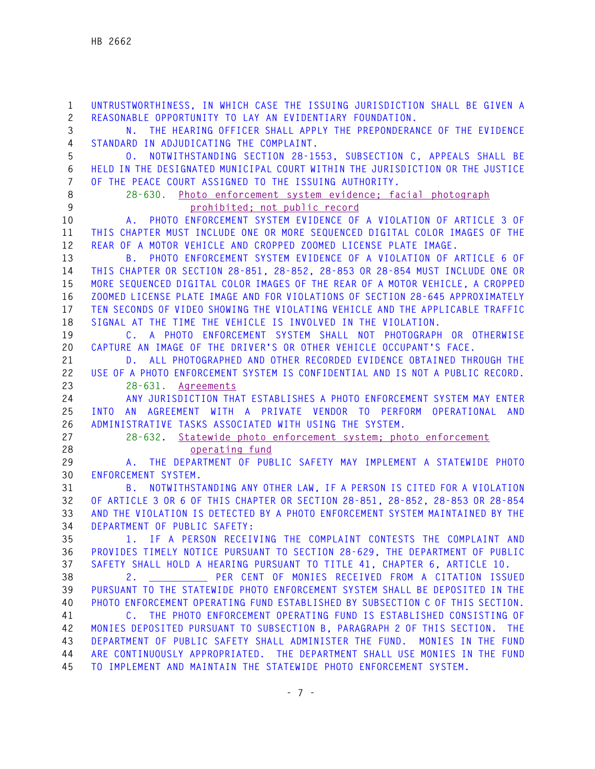**1 UNTRUSTWORTHINESS, IN WHICH CASE THE ISSUING JURISDICTION SHALL BE GIVEN A 2 REASONABLE OPPORTUNITY TO LAY AN EVIDENTIARY FOUNDATION. 3 N. THE HEARING OFFICER SHALL APPLY THE PREPONDERANCE OF THE EVIDENCE 4 STANDARD IN ADJUDICATING THE COMPLAINT. 5 O. NOTWITHSTANDING SECTION 28-1553, SUBSECTION C, APPEALS SHALL BE 6 HELD IN THE DESIGNATED MUNICIPAL COURT WITHIN THE JURISDICTION OR THE JUSTICE 7 OF THE PEACE COURT ASSIGNED TO THE ISSUING AUTHORITY. 8 28-630. Photo enforcement system evidence; facial photograph 9 prohibited; not public record 10 A. PHOTO ENFORCEMENT SYSTEM EVIDENCE OF A VIOLATION OF ARTICLE 3 OF 11 THIS CHAPTER MUST INCLUDE ONE OR MORE SEQUENCED DIGITAL COLOR IMAGES OF THE 12 REAR OF A MOTOR VEHICLE AND CROPPED ZOOMED LICENSE PLATE IMAGE. 13 B. PHOTO ENFORCEMENT SYSTEM EVIDENCE OF A VIOLATION OF ARTICLE 6 OF 14 THIS CHAPTER OR SECTION 28-851, 28-852, 28-853 OR 28-854 MUST INCLUDE ONE OR 15 MORE SEQUENCED DIGITAL COLOR IMAGES OF THE REAR OF A MOTOR VEHICLE, A CROPPED 16 ZOOMED LICENSE PLATE IMAGE AND FOR VIOLATIONS OF SECTION 28-645 APPROXIMATELY 17 TEN SECONDS OF VIDEO SHOWING THE VIOLATING VEHICLE AND THE APPLICABLE TRAFFIC 18 SIGNAL AT THE TIME THE VEHICLE IS INVOLVED IN THE VIOLATION. 19 C. A PHOTO ENFORCEMENT SYSTEM SHALL NOT PHOTOGRAPH OR OTHERWISE 20 CAPTURE AN IMAGE OF THE DRIVER'S OR OTHER VEHICLE OCCUPANT'S FACE. 21 D. ALL PHOTOGRAPHED AND OTHER RECORDED EVIDENCE OBTAINED THROUGH THE 22 USE OF A PHOTO ENFORCEMENT SYSTEM IS CONFIDENTIAL AND IS NOT A PUBLIC RECORD. 23 28-631. Agreements 24 ANY JURISDICTION THAT ESTABLISHES A PHOTO ENFORCEMENT SYSTEM MAY ENTER 25 INTO AN AGREEMENT WITH A PRIVATE VENDOR TO PERFORM OPERATIONAL AND 26 ADMINISTRATIVE TASKS ASSOCIATED WITH USING THE SYSTEM. 27 28-632. Statewide photo enforcement system; photo enforcement 28 operating fund 29 A. THE DEPARTMENT OF PUBLIC SAFETY MAY IMPLEMENT A STATEWIDE PHOTO 30 ENFORCEMENT SYSTEM. 31 B. NOTWITHSTANDING ANY OTHER LAW, IF A PERSON IS CITED FOR A VIOLATION 32 OF ARTICLE 3 OR 6 OF THIS CHAPTER OR SECTION 28-851, 28-852, 28-853 OR 28-854 33 AND THE VIOLATION IS DETECTED BY A PHOTO ENFORCEMENT SYSTEM MAINTAINED BY THE 34 DEPARTMENT OF PUBLIC SAFETY: 35 1. IF A PERSON RECEIVING THE COMPLAINT CONTESTS THE COMPLAINT AND 36 PROVIDES TIMELY NOTICE PURSUANT TO SECTION 28-629, THE DEPARTMENT OF PUBLIC 37 SAFETY SHALL HOLD A HEARING PURSUANT TO TITLE 41, CHAPTER 6, ARTICLE 10. 38 2. \_\_\_\_\_\_\_\_\_\_ PER CENT OF MONIES RECEIVED FROM A CITATION ISSUED 39 PURSUANT TO THE STATEWIDE PHOTO ENFORCEMENT SYSTEM SHALL BE DEPOSITED IN THE 40 PHOTO ENFORCEMENT OPERATING FUND ESTABLISHED BY SUBSECTION C OF THIS SECTION. 41 C. THE PHOTO ENFORCEMENT OPERATING FUND IS ESTABLISHED CONSISTING OF 42 MONIES DEPOSITED PURSUANT TO SUBSECTION B, PARAGRAPH 2 OF THIS SECTION. THE 43 DEPARTMENT OF PUBLIC SAFETY SHALL ADMINISTER THE FUND. MONIES IN THE FUND 44 ARE CONTINUOUSLY APPROPRIATED. THE DEPARTMENT SHALL USE MONIES IN THE FUND 45 TO IMPLEMENT AND MAINTAIN THE STATEWIDE PHOTO ENFORCEMENT SYSTEM.**